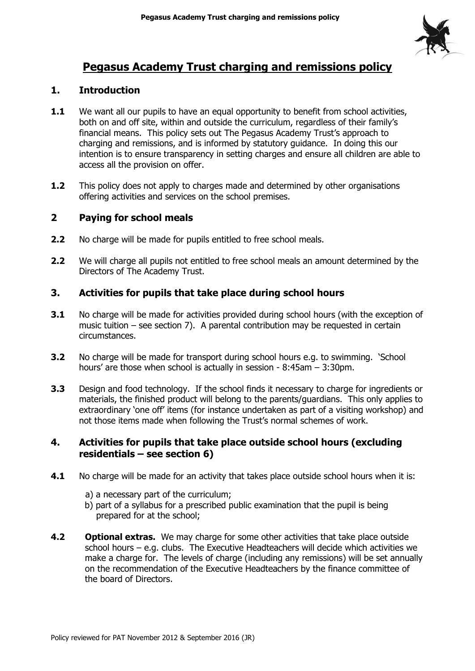

# **Pegasus Academy Trust charging and remissions policy**

# **1. Introduction**

- **1.1** We want all our pupils to have an equal opportunity to benefit from school activities, both on and off site, within and outside the curriculum, regardless of their family's financial means. This policy sets out The Pegasus Academy Trust's approach to charging and remissions, and is informed by statutory guidance. In doing this our intention is to ensure transparency in setting charges and ensure all children are able to access all the provision on offer.
- **1.2** This policy does not apply to charges made and determined by other organisations offering activities and services on the school premises.

# **2 Paying for school meals**

- **2.2** No charge will be made for pupils entitled to free school meals.
- **2.2** We will charge all pupils not entitled to free school meals an amount determined by the Directors of The Academy Trust.

# **3. Activities for pupils that take place during school hours**

- **3.1** No charge will be made for activities provided during school hours (with the exception of music tuition – see section 7). A parental contribution may be requested in certain circumstances.
- **3.2** No charge will be made for transport during school hours e.g. to swimming. 'School hours' are those when school is actually in session - 8:45am – 3:30pm.
- **3.3** Design and food technology. If the school finds it necessary to charge for ingredients or materials, the finished product will belong to the parents/guardians. This only applies to extraordinary 'one off' items (for instance undertaken as part of a visiting workshop) and not those items made when following the Trust's normal schemes of work.

## **4. Activities for pupils that take place outside school hours (excluding residentials – see section 6)**

- **4.1** No charge will be made for an activity that takes place outside school hours when it is:
	- a) a necessary part of the curriculum;
	- b) part of a syllabus for a prescribed public examination that the pupil is being prepared for at the school;
- **4.2 Optional extras.** We may charge for some other activities that take place outside school hours – e.g. clubs. The Executive Headteachers will decide which activities we make a charge for. The levels of charge (including any remissions) will be set annually on the recommendation of the Executive Headteachers by the finance committee of the board of Directors.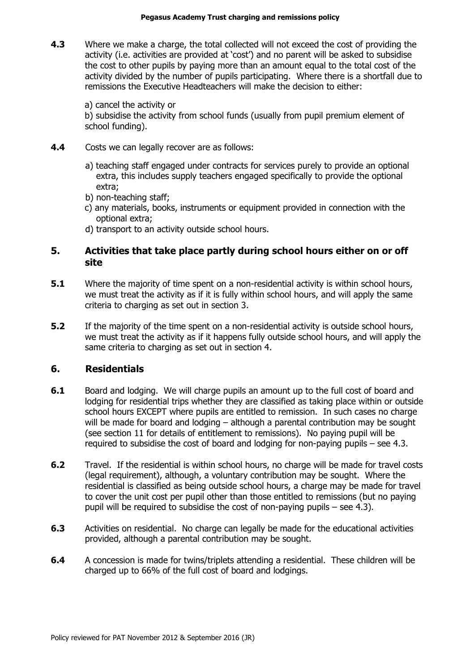**4.3** Where we make a charge, the total collected will not exceed the cost of providing the activity (i.e. activities are provided at 'cost') and no parent will be asked to subsidise the cost to other pupils by paying more than an amount equal to the total cost of the activity divided by the number of pupils participating. Where there is a shortfall due to remissions the Executive Headteachers will make the decision to either:

a) cancel the activity or b) subsidise the activity from school funds (usually from pupil premium element of school funding).

- **4.4** Costs we can legally recover are as follows:
	- a) teaching staff engaged under contracts for services purely to provide an optional extra, this includes supply teachers engaged specifically to provide the optional extra;
	- b) non-teaching staff;
	- c) any materials, books, instruments or equipment provided in connection with the optional extra;
	- d) transport to an activity outside school hours.

## **5. Activities that take place partly during school hours either on or off site**

- **5.1** Where the majority of time spent on a non-residential activity is within school hours, we must treat the activity as if it is fully within school hours, and will apply the same criteria to charging as set out in section 3.
- **5.2** If the majority of the time spent on a non-residential activity is outside school hours, we must treat the activity as if it happens fully outside school hours, and will apply the same criteria to charging as set out in section 4.

#### **6. Residentials**

- **6.1** Board and lodging. We will charge pupils an amount up to the full cost of board and lodging for residential trips whether they are classified as taking place within or outside school hours EXCEPT where pupils are entitled to remission. In such cases no charge will be made for board and lodging – although a parental contribution may be sought (see section 11 for details of entitlement to remissions). No paying pupil will be required to subsidise the cost of board and lodging for non-paying pupils – see 4.3.
- **6.2** Travel. If the residential is within school hours, no charge will be made for travel costs (legal requirement), although, a voluntary contribution may be sought. Where the residential is classified as being outside school hours, a charge may be made for travel to cover the unit cost per pupil other than those entitled to remissions (but no paying pupil will be required to subsidise the cost of non-paying pupils – see 4.3).
- **6.3** Activities on residential. No charge can legally be made for the educational activities provided, although a parental contribution may be sought.
- **6.4** A concession is made for twins/triplets attending a residential. These children will be charged up to 66% of the full cost of board and lodgings.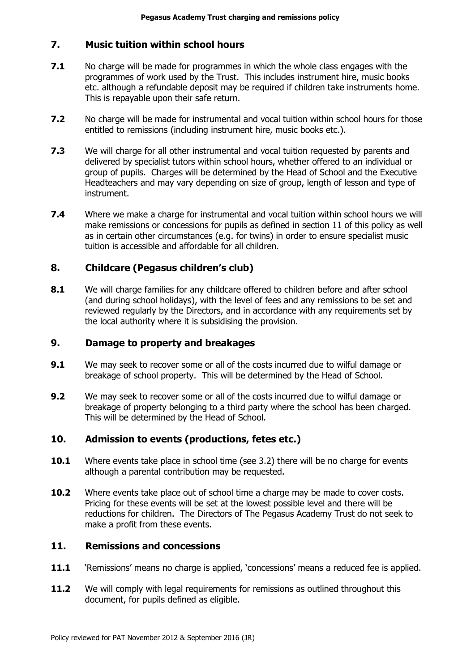## **7. Music tuition within school hours**

- **7.1** No charge will be made for programmes in which the whole class engages with the programmes of work used by the Trust. This includes instrument hire, music books etc. although a refundable deposit may be required if children take instruments home. This is repayable upon their safe return.
- **7.2** No charge will be made for instrumental and vocal tuition within school hours for those entitled to remissions (including instrument hire, music books etc.).
- **7.3** We will charge for all other instrumental and vocal tuition requested by parents and delivered by specialist tutors within school hours, whether offered to an individual or group of pupils. Charges will be determined by the Head of School and the Executive Headteachers and may vary depending on size of group, length of lesson and type of instrument.
- **7.4** Where we make a charge for instrumental and vocal tuition within school hours we will make remissions or concessions for pupils as defined in section 11 of this policy as well as in certain other circumstances (e.g. for twins) in order to ensure specialist music tuition is accessible and affordable for all children.

# **8. Childcare (Pegasus children's club)**

**8.1** We will charge families for any childcare offered to children before and after school (and during school holidays), with the level of fees and any remissions to be set and reviewed regularly by the Directors, and in accordance with any requirements set by the local authority where it is subsidising the provision.

# **9. Damage to property and breakages**

- **9.1** We may seek to recover some or all of the costs incurred due to wilful damage or breakage of school property. This will be determined by the Head of School.
- **9.2** We may seek to recover some or all of the costs incurred due to wilful damage or breakage of property belonging to a third party where the school has been charged. This will be determined by the Head of School.

# **10. Admission to events (productions, fetes etc.)**

- **10.1** Where events take place in school time (see 3.2) there will be no charge for events although a parental contribution may be requested.
- **10.2** Where events take place out of school time a charge may be made to cover costs. Pricing for these events will be set at the lowest possible level and there will be reductions for children. The Directors of The Pegasus Academy Trust do not seek to make a profit from these events.

#### **11. Remissions and concessions**

- **11.1** 'Remissions' means no charge is applied, 'concessions' means a reduced fee is applied.
- **11.2** We will comply with legal requirements for remissions as outlined throughout this document, for pupils defined as eligible.